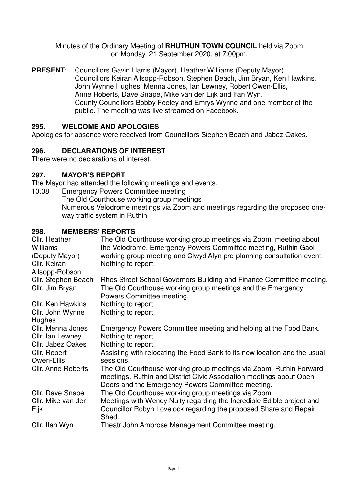Minutes of the Ordinary Meeting of **RHUTHUN TOWN COUNCIL** held via Zoom on Monday, 21 September 2020, at 7:00pm.

**PRESENT**: Councillors Gavin Harris (Mayor), Heather Williams (Deputy Mayor) Councillors Keiran Allsopp-Robson, Stephen Beach, Jim Bryan, Ken Hawkins, John Wynne Hughes, Menna Jones, Ian Lewney, Robert Owen-Ellis, Anne Roberts, Dave Snape, Mike van der Eijk and Ifan Wyn. County Councillors Bobby Feeley and Emrys Wynne and one member of the public. The meeting was live streamed on Facebook.

## **295. WELCOME AND APOLOGIES**

Apologies for absence were received from Councillors Stephen Beach and Jabez Oakes.

### **296. DECLARATIONS OF INTEREST**

There were no declarations of interest.

#### **297. MAYOR'S REPORT**

The Mayor had attended the following meetings and events.

10.08 Emergency Powers Committee meeting

 The Old Courthouse working group meetings Numerous Velodrome meetings via Zoom and meetings regarding the proposed oneway traffic system in Ruthin

#### **298. MEMBERS' REPORTS**

| Cllr. Heather<br><b>Williams</b><br>(Deputy Mayor)<br>Cllr. Keiran<br>Allsopp-Robson | The Old Courthouse working group meetings via Zoom, meeting about<br>the Velodrome, Emergency Powers Committee meeting, Ruthin Gaol<br>working group meeting and Clwyd Alyn pre-planning consultation event.<br>Nothing to report. |
|--------------------------------------------------------------------------------------|------------------------------------------------------------------------------------------------------------------------------------------------------------------------------------------------------------------------------------|
| Cllr. Stephen Beach<br>Cllr. Jim Bryan                                               | Rhos Street School Governors Building and Finance Committee meeting.<br>The Old Courthouse working group meetings and the Emergency<br>Powers Committee meeting.                                                                   |
| <b>Cllr. Ken Hawkins</b><br>Cllr. John Wynne<br>Hughes                               | Nothing to report.<br>Nothing to report.                                                                                                                                                                                           |
| Cllr. Menna Jones<br>Cllr. Ian Lewney<br>Cllr. Jabez Oakes                           | Emergency Powers Committee meeting and helping at the Food Bank.<br>Nothing to report.<br>Nothing to report.                                                                                                                       |
| Cllr. Robert<br>Owen-Ellis                                                           | Assisting with relocating the Food Bank to its new location and the usual<br>sessions.                                                                                                                                             |
| <b>Cllr. Anne Roberts</b>                                                            | The Old Courthouse working group meetings via Zoom, Ruthin Forward<br>meetings, Ruthin and District Civic Association meetings about Open<br>Doors and the Emergency Powers Committee meeting.                                     |
| Cllr. Dave Snape<br>Cllr. Mike van der<br>Eijk                                       | The Old Courthouse working group meetings via Zoom.<br>Meetings with Wendy Nulty regarding the Incredible Edible project and<br>Councillor Robyn Lovelock regarding the proposed Share and Repair<br>Shed.                         |
| Cllr. Ifan Wyn                                                                       | Theatr John Ambrose Management Committee meeting.                                                                                                                                                                                  |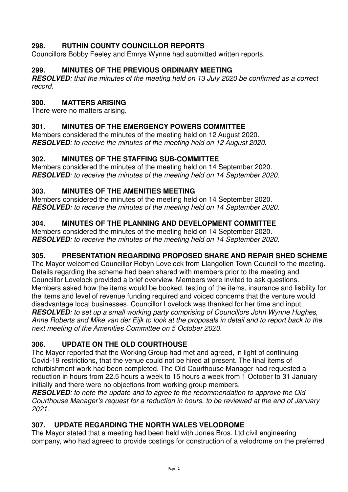# **298. RUTHIN COUNTY COUNCILLOR REPORTS**

Councillors Bobby Feeley and Emrys Wynne had submitted written reports.

## **299. MINUTES OF THE PREVIOUS ORDINARY MEETING**

**RESOLVED***: that the minutes of the meeting held on 13 July 2020 be confirmed as a correct record.* 

## **300. MATTERS ARISING**

There were no matters arising.

## **301. MINUTES OF THE EMERGENCY POWERS COMMITTEE**

Members considered the minutes of the meeting held on 12 August 2020. **RESOLVED***: to receive the minutes of the meeting held on 12 August 2020.* 

### **302. MINUTES OF THE STAFFING SUB-COMMITTEE**

Members considered the minutes of the meeting held on 14 September 2020. **RESOLVED***: to receive the minutes of the meeting held on 14 September 2020.*

### **303. MINUTES OF THE AMENITIES MEETING**

Members considered the minutes of the meeting held on 14 September 2020. **RESOLVED***: to receive the minutes of the meeting held on 14 September 2020.*

### **304. MINUTES OF THE PLANNING AND DEVELOPMENT COMMITTEE**

Members considered the minutes of the meeting held on 14 September 2020. **RESOLVED***: to receive the minutes of the meeting held on 14 September 2020.*

### **305. PRESENTATION REGARDING PROPOSED SHARE AND REPAIR SHED SCHEME**

The Mayor welcomed Councillor Robyn Lovelock from Llangollen Town Council to the meeting. Details regarding the scheme had been shared with members prior to the meeting and Councillor Lovelock provided a brief overview. Members were invited to ask questions. Members asked how the items would be booked, testing of the items, insurance and liability for the items and level of revenue funding required and voiced concerns that the venture would disadvantage local businesses. Councillor Lovelock was thanked for her time and input. **RESOLVED***: to set up a small working party comprising of Councillors John Wynne Hughes, Anne Roberts and Mike van der Eijk to look at the proposals in detail and to report back to the next meeting of the Amenities Committee on 5 October 2020.* 

# **306. UPDATE ON THE OLD COURTHOUSE**

The Mayor reported that the Working Group had met and agreed, in light of continuing Covid-19 restrictions, that the venue could not be hired at present. The final items of refurbishment work had been completed. The Old Courthouse Manager had requested a reduction in hours from 22.5 hours a week to 15 hours a week from 1 October to 31 January initially and there were no objections from working group members.

**RESOLVED***: to note the update and to agree to the recommendation to approve the Old Courthouse Manager's request for a reduction in hours, to be reviewed at the end of January 2021.* 

### **307. UPDATE REGARDING THE NORTH WALES VELODROME**

The Mayor stated that a meeting had been held with Jones Bros. Ltd civil engineering company, who had agreed to provide costings for construction of a velodrome on the preferred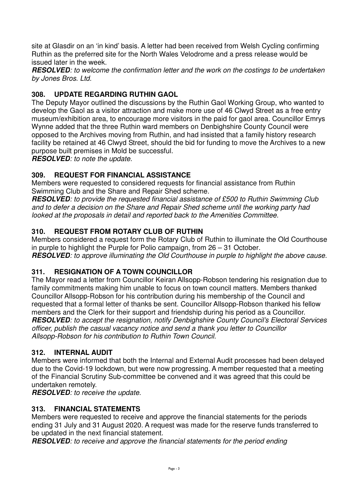site at Glasdir on an 'in kind' basis. A letter had been received from Welsh Cycling confirming Ruthin as the preferred site for the North Wales Velodrome and a press release would be issued later in the week.

**RESOLVED***: to welcome the confirmation letter and the work on the costings to be undertaken by Jones Bros. Ltd.* 

# **308. UPDATE REGARDING RUTHIN GAOL**

The Deputy Mayor outlined the discussions by the Ruthin Gaol Working Group, who wanted to develop the Gaol as a visitor attraction and make more use of 46 Clwyd Street as a free entry museum/exhibition area, to encourage more visitors in the paid for gaol area. Councillor Emrys Wynne added that the three Ruthin ward members on Denbighshire County Council were opposed to the Archives moving from Ruthin, and had insisted that a family history research facility be retained at 46 Clwyd Street, should the bid for funding to move the Archives to a new purpose built premises in Mold be successful.

**RESOLVED***: to note the update.*

## **309. REQUEST FOR FINANCIAL ASSISTANCE**

Members were requested to considered requests for financial assistance from Ruthin Swimming Club and the Share and Repair Shed scheme.

**RESOLVED***: to provide the requested financial assistance of £500 to Ruthin Swimming Club and to defer a decision on the Share and Repair Shed scheme until the working party had looked at the proposals in detail and reported back to the Amenities Committee.* 

## **310. REQUEST FROM ROTARY CLUB OF RUTHIN**

Members considered a request form the Rotary Club of Ruthin to illuminate the Old Courthouse in purple to highlight the Purple for Polio campaign, from 26 – 31 October. **RESOLVED***: to approve illuminating the Old Courthouse in purple to highlight the above cause.* 

### **311. RESIGNATION OF A TOWN COUNCILLOR**

The Mayor read a letter from Councillor Keiran Allsopp-Robson tendering his resignation due to family commitments making him unable to focus on town council matters. Members thanked Councillor Allsopp-Robson for his contribution during his membership of the Council and requested that a formal letter of thanks be sent. Councillor Allsopp-Robson thanked his fellow members and the Clerk for their support and friendship during his period as a Councillor. **RESOLVED***: to accept the resignation, notify Denbighshire County Council's Electoral Services officer, publish the casual vacancy notice and send a thank you letter to Councillor Allsopp-Robson for his contribution to Ruthin Town Council.* 

### **312. INTERNAL AUDIT**

Members were informed that both the Internal and External Audit processes had been delayed due to the Covid-19 lockdown, but were now progressing. A member requested that a meeting of the Financial Scrutiny Sub-committee be convened and it was agreed that this could be undertaken remotely.

**RESOLVED***: to receive the update.* 

### **313. FINANCIAL STATEMENTS**

Members were requested to receive and approve the financial statements for the periods ending 31 July and 31 August 2020. A request was made for the reserve funds transferred to be updated in the next financial statement.

**RESOLVED***: to receive and approve the financial statements for the period ending*